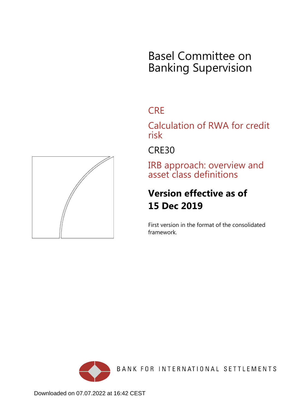# Basel Committee on Banking Supervision

## **CRE**

Calculation of RWA for credit risk

CRE30

IRB approach: overview and asset class definitions

## **Version effective as of 15 Dec 2019**

First version in the format of the consolidated framework.



BANK FOR INTERNATIONAL SETTLEMENTS

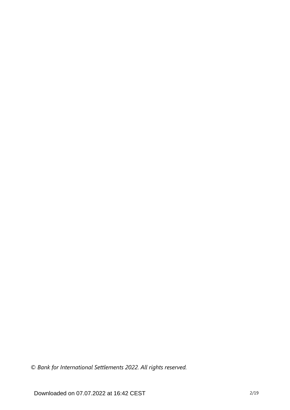*© Bank for International Settlements 2022. All rights reserved.*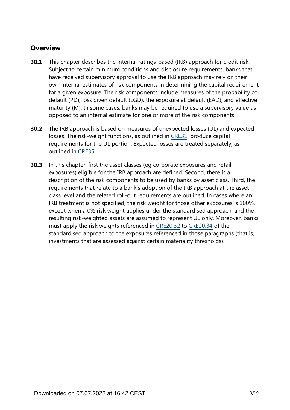## **Overview**

- This chapter describes the internal ratings-based (IRB) approach for credit risk. Subject to certain minimum conditions and disclosure requirements, banks that have received supervisory approval to use the IRB approach may rely on their own internal estimates of risk components in determining the capital requirement for a given exposure. The risk components include measures of the probability of default (PD), loss given default (LGD), the exposure at default (EAD), and effective maturity (M). In some cases, banks may be required to use a supervisory value as opposed to an internal estimate for one or more of the risk components. **30.1**
- The IRB approach is based on measures of unexpected losses (UL) and expected losses. The risk-weight functions, as outlined in [CRE31,](https://www.bis.org/basel_framework/chapter/CRE/31.htm?tldate=20220102&inforce=20191215&published=20191215) produce capital requirements for the UL portion. Expected losses are treated separately, as outlined in [CRE35.](https://www.bis.org/basel_framework/chapter/CRE/35.htm?tldate=20220102&inforce=20191215&published=20191215) **30.2**
- In this chapter, first the asset classes (eg corporate exposures and retail exposures) eligible for the IRB approach are defined. Second, there is a description of the risk components to be used by banks by asset class. Third, the requirements that relate to a bank's adoption of the IRB approach at the asset class level and the related roll-out requirements are outlined. In cases where an IRB treatment is not specified, the risk weight for those other exposures is 100%, except when a 0% risk weight applies under the standardised approach, and the resulting risk-weighted assets are assumed to represent UL only. Moreover, banks must apply the risk weights referenced in [CRE20.32](https://www.bis.org/basel_framework/chapter/CRE/20.htm?tldate=20220102&inforce=20191215&published=20191215#paragraph_CRE_20_20191215_20_32) to [CRE20.34](https://www.bis.org/basel_framework/chapter/CRE/20.htm?tldate=20220102&inforce=20191215&published=20191215#paragraph_CRE_20_20191215_20_34) of the standardised approach to the exposures referenced in those paragraphs (that is, investments that are assessed against certain materiality thresholds). **30.3**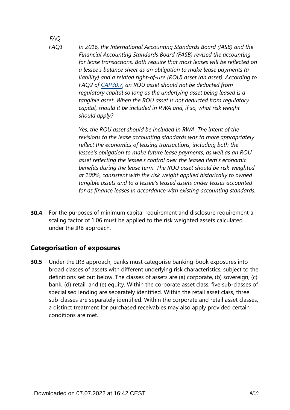*FAQ*

*In 2016, the International Accounting Standards Board (IASB) and the Financial Accounting Standards Board (FASB) revised the accounting for lease transactions. Both require that most leases will be reflected on a lessee's balance sheet as an obligation to make lease payments (a liability) and a related right-of-use (ROU) asset (an asset). According to FAQ2 of [CAP30.7](https://www.bis.org/basel_framework/chapter/CAP/30.htm?tldate=20220102&inforce=20191215&published=20191215#paragraph_CAP_30_20191215_30_7), an ROU asset should not be deducted from regulatory capital so long as the underlying asset being leased is a tangible asset. When the ROU asset is not deducted from regulatory capital, should it be included in RWA and, if so, what risk weight should apply? FAQ1*

> *Yes, the ROU asset should be included in RWA. The intent of the revisions to the lease accounting standards was to more appropriately reflect the economics of leasing transactions, including both the lessee's obligation to make future lease payments, as well as an ROU asset reflecting the lessee's control over the leased item's economic benefits during the lease term. The ROU asset should be risk-weighted at 100%, consistent with the risk weight applied historically to owned tangible assets and to a lessee's leased assets under leases accounted for as finance leases in accordance with existing accounting standards.*

For the purposes of minimum capital requirement and disclosure requirement a scaling factor of 1.06 must be applied to the risk weighted assets calculated under the IRB approach. **30.4**

## **Categorisation of exposures**

Under the IRB approach, banks must categorise banking-book exposures into broad classes of assets with different underlying risk characteristics, subject to the definitions set out below. The classes of assets are (a) corporate, (b) sovereign, (c) bank, (d) retail, and (e) equity. Within the corporate asset class, five sub-classes of specialised lending are separately identified. Within the retail asset class, three sub-classes are separately identified. Within the corporate and retail asset classes, a distinct treatment for purchased receivables may also apply provided certain conditions are met. **30.5**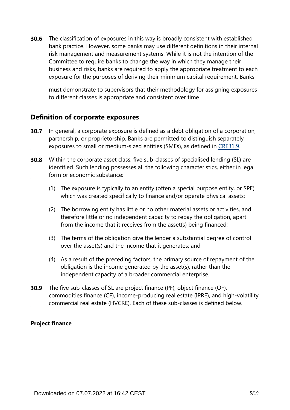The classification of exposures in this way is broadly consistent with established bank practice. However, some banks may use different definitions in their internal risk management and measurement systems. While it is not the intention of the Committee to require banks to change the way in which they manage their business and risks, banks are required to apply the appropriate treatment to each exposure for the purposes of deriving their minimum capital requirement. Banks **30.6**

must demonstrate to supervisors that their methodology for assigning exposures to different classes is appropriate and consistent over time.

## **Definition of corporate exposures**

- In general, a corporate exposure is defined as a debt obligation of a corporation, partnership, or proprietorship. Banks are permitted to distinguish separately exposures to small or medium-sized entities (SMEs), as defined in [CRE31.9.](https://www.bis.org/basel_framework/chapter/CRE/31.htm?tldate=20220102&inforce=20191215&published=20191215#paragraph_CRE_31_20191215_31_9) **30.7**
- Within the corporate asset class, five sub-classes of specialised lending (SL) are identified. Such lending possesses all the following characteristics, either in legal form or economic substance: **30.8**
	- (1) The exposure is typically to an entity (often a special purpose entity, or SPE) which was created specifically to finance and/or operate physical assets;
	- (2) The borrowing entity has little or no other material assets or activities, and therefore little or no independent capacity to repay the obligation, apart from the income that it receives from the asset(s) being financed;
	- (3) The terms of the obligation give the lender a substantial degree of control over the asset(s) and the income that it generates; and
	- (4) As a result of the preceding factors, the primary source of repayment of the obligation is the income generated by the asset(s), rather than the independent capacity of a broader commercial enterprise.
- The five sub-classes of SL are project finance (PF), object finance (OF), commodities finance (CF), income-producing real estate (IPRE), and high-volatility commercial real estate (HVCRE). Each of these sub-classes is defined below. **30.9**

## **Project finance**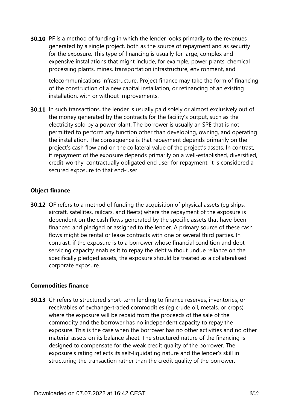**30.10** PF is a method of funding in which the lender looks primarily to the revenues generated by a single project, both as the source of repayment and as security for the exposure. This type of financing is usually for large, complex and expensive installations that might include, for example, power plants, chemical processing plants, mines, transportation infrastructure, environment, and

telecommunications infrastructure. Project finance may take the form of financing of the construction of a new capital installation, or refinancing of an existing installation, with or without improvements.

**30.11** In such transactions, the lender is usually paid solely or almost exclusively out of the money generated by the contracts for the facility's output, such as the electricity sold by a power plant. The borrower is usually an SPE that is not permitted to perform any function other than developing, owning, and operating the installation. The consequence is that repayment depends primarily on the project's cash flow and on the collateral value of the project's assets. In contrast, if repayment of the exposure depends primarily on a well-established, diversified, credit-worthy, contractually obligated end user for repayment, it is considered a secured exposure to that end-user.

#### **Object finance**

**30.12** OF refers to a method of funding the acquisition of physical assets (eg ships, aircraft, satellites, railcars, and fleets) where the repayment of the exposure is dependent on the cash flows generated by the specific assets that have been financed and pledged or assigned to the lender. A primary source of these cash flows might be rental or lease contracts with one or several third parties. In contrast, if the exposure is to a borrower whose financial condition and debtservicing capacity enables it to repay the debt without undue reliance on the specifically pledged assets, the exposure should be treated as a collateralised corporate exposure.

#### **Commodities finance**

**30.13** CF refers to structured short-term lending to finance reserves, inventories, or receivables of exchange-traded commodities (eg crude oil, metals, or crops), where the exposure will be repaid from the proceeds of the sale of the commodity and the borrower has no independent capacity to repay the exposure. This is the case when the borrower has no other activities and no other material assets on its balance sheet. The structured nature of the financing is designed to compensate for the weak credit quality of the borrower. The exposure's rating reflects its self-liquidating nature and the lender's skill in structuring the transaction rather than the credit quality of the borrower.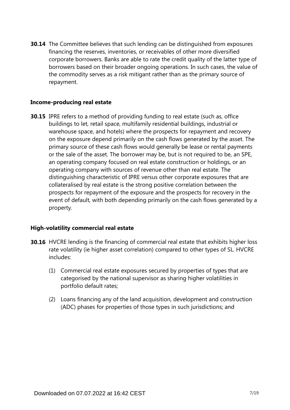**30.14** The Committee believes that such lending can be distinguished from exposures financing the reserves, inventories, or receivables of other more diversified corporate borrowers. Banks are able to rate the credit quality of the latter type of borrowers based on their broader ongoing operations. In such cases, the value of the commodity serves as a risk mitigant rather than as the primary source of repayment.

#### **Income-producing real estate**

**30.15** IPRE refers to a method of providing funding to real estate (such as, office buildings to let, retail space, multifamily residential buildings, industrial or warehouse space, and hotels) where the prospects for repayment and recovery on the exposure depend primarily on the cash flows generated by the asset. The primary source of these cash flows would generally be lease or rental payments or the sale of the asset. The borrower may be, but is not required to be, an SPE, an operating company focused on real estate construction or holdings, or an operating company with sources of revenue other than real estate. The distinguishing characteristic of IPRE versus other corporate exposures that are collateralised by real estate is the strong positive correlation between the prospects for repayment of the exposure and the prospects for recovery in the event of default, with both depending primarily on the cash flows generated by a property.

#### **High-volatility commercial real estate**

- **30.16** HVCRE lending is the financing of commercial real estate that exhibits higher loss rate volatility (ie higher asset correlation) compared to other types of SL. HVCRE includes:
	- (1) Commercial real estate exposures secured by properties of types that are categorised by the national supervisor as sharing higher volatilities in portfolio default rates;
	- (2) Loans financing any of the land acquisition, development and construction (ADC) phases for properties of those types in such jurisdictions; and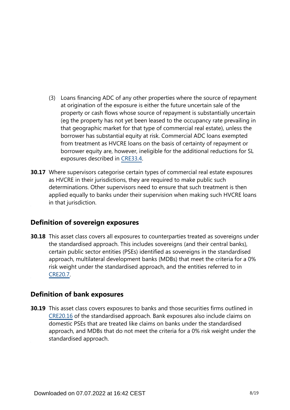- (3) Loans financing ADC of any other properties where the source of repayment at origination of the exposure is either the future uncertain sale of the property or cash flows whose source of repayment is substantially uncertain (eg the property has not yet been leased to the occupancy rate prevailing in that geographic market for that type of commercial real estate), unless the borrower has substantial equity at risk. Commercial ADC loans exempted from treatment as HVCRE loans on the basis of certainty of repayment or borrower equity are, however, ineligible for the additional reductions for SL exposures described in [CRE33.4](https://www.bis.org/basel_framework/chapter/CRE/33.htm?tldate=20220102&inforce=20191215&published=20191215#paragraph_CRE_33_20191215_33_4).
- **30.17** Where supervisors categorise certain types of commercial real estate exposures as HVCRE in their jurisdictions, they are required to make public such determinations. Other supervisors need to ensure that such treatment is then applied equally to banks under their supervision when making such HVCRE loans in that jurisdiction.

## **Definition of sovereign exposures**

**30.18** This asset class covers all exposures to counterparties treated as sovereigns under the standardised approach. This includes sovereigns (and their central banks), certain public sector entities (PSEs) identified as sovereigns in the standardised approach, multilateral development banks (MDBs) that meet the criteria for a 0% risk weight under the standardised approach, and the entities referred to in [CRE20.7.](https://www.bis.org/basel_framework/chapter/CRE/20.htm?tldate=20220102&inforce=20191215&published=20191215#paragraph_CRE_20_20191215_20_7)

## **Definition of bank exposures**

**30.19** This asset class covers exposures to banks and those securities firms outlined in [CRE20.16](https://www.bis.org/basel_framework/chapter/CRE/20.htm?tldate=20220102&inforce=20191215&published=20191215#paragraph_CRE_20_20191215_20_16) of the standardised approach. Bank exposures also include claims on domestic PSEs that are treated like claims on banks under the standardised approach, and MDBs that do not meet the criteria for a 0% risk weight under the standardised approach.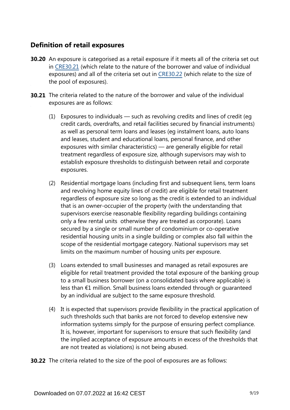## **Definition of retail exposures**

- **30.20** An exposure is categorised as a retail exposure if it meets all of the criteria set out in [CRE30.21](https://www.bis.org/basel_framework/chapter/CRE/30.htm?tldate=20220102&inforce=20191215&published=20191215#paragraph_CRE_30_20191215_30_21) (which relate to the nature of the borrower and value of individual exposures) and all of the criteria set out in [CRE30.22](https://www.bis.org/basel_framework/chapter/CRE/30.htm?tldate=20220102&inforce=20191215&published=20191215#paragraph_CRE_30_20191215_30_22) (which relate to the size of the pool of exposures).
- **30.21** The criteria related to the nature of the borrower and value of the individual exposures are as follows:
	- (1) Exposures to individuals such as revolving credits and lines of credit (eg credit cards, overdrafts, and retail facilities secured by financial instruments) as well as personal term loans and leases (eg instalment loans, auto loans and leases, student and educational loans, personal finance, and other exposures with similar characteristics) — are generally eligible for retail treatment regardless of exposure size, although supervisors may wish to establish exposure thresholds to distinguish between retail and corporate exposures.
	- (2) Residential mortgage loans (including first and subsequent liens, term loans and revolving home equity lines of credit) are eligible for retail treatment regardless of exposure size so long as the credit is extended to an individual that is an owner-occupier of the property (with the understanding that supervisors exercise reasonable flexibility regarding buildings containing only a few rental units otherwise they are treated as corporate). Loans secured by a single or small number of condominium or co-operative residential housing units in a single building or complex also fall within the scope of the residential mortgage category. National supervisors may set limits on the maximum number of housing units per exposure.
	- (3) Loans extended to small businesses and managed as retail exposures are eligible for retail treatment provided the total exposure of the banking group to a small business borrower (on a consolidated basis where applicable) is less than €1 million. Small business loans extended through or guaranteed by an individual are subject to the same exposure threshold.
	- (4) It is expected that supervisors provide flexibility in the practical application of such thresholds such that banks are not forced to develop extensive new information systems simply for the purpose of ensuring perfect compliance. It is, however, important for supervisors to ensure that such flexibility (and the implied acceptance of exposure amounts in excess of the thresholds that are not treated as violations) is not being abused.
- **30.22** The criteria related to the size of the pool of exposures are as follows: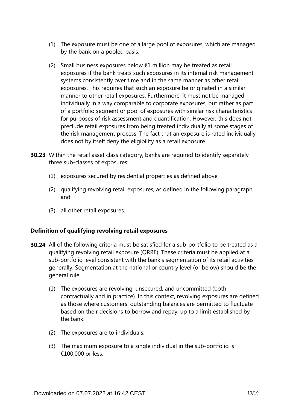- (1) The exposure must be one of a large pool of exposures, which are managed by the bank on a pooled basis.
- (2) Small business exposures below  $E1$  million may be treated as retail exposures if the bank treats such exposures in its internal risk management systems consistently over time and in the same manner as other retail exposures. This requires that such an exposure be originated in a similar manner to other retail exposures. Furthermore, it must not be managed individually in a way comparable to corporate exposures, but rather as part of a portfolio segment or pool of exposures with similar risk characteristics for purposes of risk assessment and quantification. However, this does not preclude retail exposures from being treated individually at some stages of the risk management process. The fact that an exposure is rated individually does not by itself deny the eligibility as a retail exposure.
- **30.23** Within the retail asset class category, banks are required to identify separately three sub-classes of exposures:
	- (1) exposures secured by residential properties as defined above,
	- (2) qualifying revolving retail exposures, as defined in the following paragraph, and
	- (3) all other retail exposures.

#### **Definition of qualifying revolving retail exposures**

- **30.24** All of the following criteria must be satisfied for a sub-portfolio to be treated as a qualifying revolving retail exposure (QRRE). These criteria must be applied at a sub-portfolio level consistent with the bank's segmentation of its retail activities generally. Segmentation at the national or country level (or below) should be the general rule.
	- (1) The exposures are revolving, unsecured, and uncommitted (both contractually and in practice). In this context, revolving exposures are defined as those where customers' outstanding balances are permitted to fluctuate based on their decisions to borrow and repay, up to a limit established by the bank.
	- (2) The exposures are to individuals.
	- (3) The maximum exposure to a single individual in the sub-portfolio is €100,000 or less.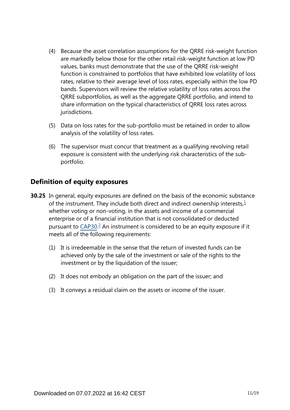- (4) Because the asset correlation assumptions for the QRRE risk-weight function are markedly below those for the other retail risk-weight function at low PD values, banks must demonstrate that the use of the QRRE risk-weight function is constrained to portfolios that have exhibited low volatility of loss rates, relative to their average level of loss rates, especially within the low PD bands. Supervisors will review the relative volatility of loss rates across the QRRE subportfolios, as well as the aggregate QRRE portfolio, and intend to share information on the typical characteristics of QRRE loss rates across jurisdictions.
- (5) Data on loss rates for the sub-portfolio must be retained in order to allow analysis of the volatility of loss rates.
- (6) The supervisor must concur that treatment as a qualifying revolving retail exposure is consistent with the underlying risk characteristics of the subportfolio.

## **Definition of equity exposures**

- <span id="page-10-1"></span><span id="page-10-0"></span>**30.25** In general, equity exposures are defined on the basis of the economic substance of the instrument. They include both direct and indirect ownership interests, $\frac{1}{2}$  $\frac{1}{2}$  $\frac{1}{2}$ whether voting or non-voting, in the assets and income of a commercial enterprise or of a financial institution that is not consolidated or deducted pursuant to  $CAP30<sup>2</sup>$  $CAP30<sup>2</sup>$  $CAP30<sup>2</sup>$  $CAP30<sup>2</sup>$  An instrument is considered to be an equity exposure if it meets all of the following requirements:
	- (1) It is irredeemable in the sense that the return of invested funds can be achieved only by the sale of the investment or sale of the rights to the investment or by the liquidation of the issuer;
	- (2) It does not embody an obligation on the part of the issuer; and
	- (3) It conveys a residual claim on the assets or income of the issuer.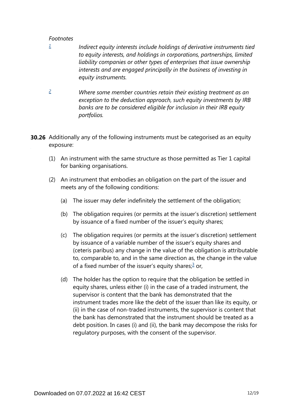#### *Footnotes*

- <span id="page-11-0"></span>*Indirect equity interests include holdings of derivative instruments tied to equity interests, and holdings in corporations, partnerships, limited liability companies or other types of enterprises that issue ownership interests and are engaged principally in the business of investing in equity instruments. [1](#page-10-0)*
- <span id="page-11-1"></span>*Where some member countries retain their existing treatment as an exception to the deduction approach, such equity investments by IRB banks are to be considered eligible for inclusion in their IRB equity portfolios. [2](#page-10-1)*
- <span id="page-11-2"></span>**30.26** Additionally any of the following instruments must be categorised as an equity exposure:
	- (1) An instrument with the same structure as those permitted as Tier 1 capital for banking organisations.
	- (2) An instrument that embodies an obligation on the part of the issuer and meets any of the following conditions:
		- (a) The issuer may defer indefinitely the settlement of the obligation;
		- (b) The obligation requires (or permits at the issuer's discretion) settlement by issuance of a fixed number of the issuer's equity shares;
		- (c) The obligation requires (or permits at the issuer's discretion) settlement by issuance of a variable number of the issuer's equity shares and (ceteris paribus) any change in the value of the obligation is attributable to, comparable to, and in the same direction as, the change in the value of a fixed number of the issuer's equity shares; $\frac{3}{2}$  $\frac{3}{2}$  $\frac{3}{2}$  or,
		- (d) The holder has the option to require that the obligation be settled in equity shares, unless either (i) in the case of a traded instrument, the supervisor is content that the bank has demonstrated that the instrument trades more like the debt of the issuer than like its equity, or (ii) in the case of non-traded instruments, the supervisor is content that the bank has demonstrated that the instrument should be treated as a debt position. In cases (i) and (ii), the bank may decompose the risks for regulatory purposes, with the consent of the supervisor.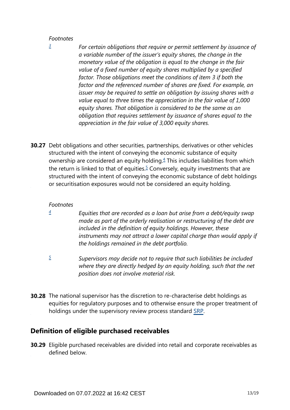#### *Footnotes*

<span id="page-12-0"></span>*[3](#page-11-2)*

*For certain obligations that require or permit settlement by issuance of a variable number of the issuer's equity shares, the change in the monetary value of the obligation is equal to the change in the fair value of a fixed number of equity shares multiplied by a specified factor. Those obligations meet the conditions of item 3 if both the factor and the referenced number of shares are fixed. For example, an issuer may be required to settle an obligation by issuing shares with a value equal to three times the appreciation in the fair value of 1,000 equity shares. That obligation is considered to be the same as an obligation that requires settlement by issuance of shares equal to the appreciation in the fair value of 3,000 equity shares.*

<span id="page-12-4"></span><span id="page-12-3"></span>**30.27** Debt obligations and other securities, partnerships, derivatives or other vehicles structured with the intent of conveying the economic substance of equity ownership are considered an equity holding.<sup>[4](#page-12-1)</sup> This includes liabilities from which the return is linked to that of equities. $5$  Conversely, equity investments that are structured with the intent of conveying the economic substance of debt holdings or securitisation exposures would not be considered an equity holding.

#### *Footnotes*

<span id="page-12-1"></span>*Equities that are recorded as a loan but arise from a debt/equity swap made as part of the orderly realisation or restructuring of the debt are included in the definition of equity holdings. However, these instruments may not attract a lower capital charge than would apply if the holdings remained in the debt portfolio. [4](#page-12-3)*

- <span id="page-12-2"></span>*Supervisors may decide not to require that such liabilities be included where they are directly hedged by an equity holding, such that the net position does not involve material risk. [5](#page-12-4)*
- **30.28** The national supervisor has the discretion to re-characterise debt holdings as equities for regulatory purposes and to otherwise ensure the proper treatment of holdings under the supervisory review process standard [SRP.](https://www.bis.org/basel_framework/standard/SRP.htm?tldate=20220102)

## **Definition of eligible purchased receivables**

**30.29** Eligible purchased receivables are divided into retail and corporate receivables as defined below.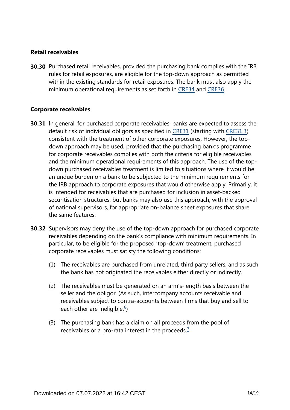#### **Retail receivables**

**30.30** Purchased retail receivables, provided the purchasing bank complies with the IRB rules for retail exposures, are eligible for the top-down approach as permitted within the existing standards for retail exposures. The bank must also apply the minimum operational requirements as set forth in [CRE34](https://www.bis.org/basel_framework/chapter/CRE/34.htm?tldate=20220102&inforce=20191215&published=20191215) and [CRE36.](https://www.bis.org/basel_framework/chapter/CRE/36.htm?tldate=20220102&inforce=20191215&published=20191215)

#### **Corporate receivables**

- **30.31** In general, for purchased corporate receivables, banks are expected to assess the default risk of individual obligors as specified in [CRE31](https://www.bis.org/basel_framework/chapter/CRE/31.htm?tldate=20220102&inforce=20191215&published=20191215) (starting with [CRE31.3\)](https://www.bis.org/basel_framework/chapter/CRE/31.htm?tldate=20220102&inforce=20191215&published=20191215#paragraph_CRE_31_20191215_31_3) consistent with the treatment of other corporate exposures. However, the topdown approach may be used, provided that the purchasing bank's programme for corporate receivables complies with both the criteria for eligible receivables and the minimum operational requirements of this approach. The use of the topdown purchased receivables treatment is limited to situations where it would be an undue burden on a bank to be subjected to the minimum requirements for the IRB approach to corporate exposures that would otherwise apply. Primarily, it is intended for receivables that are purchased for inclusion in asset-backed securitisation structures, but banks may also use this approach, with the approval of national supervisors, for appropriate on-balance sheet exposures that share the same features.
- <span id="page-13-1"></span><span id="page-13-0"></span>**30.32** Supervisors may deny the use of the top-down approach for purchased corporate receivables depending on the bank's compliance with minimum requirements. In particular, to be eligible for the proposed 'top-down' treatment, purchased corporate receivables must satisfy the following conditions:
	- (1) The receivables are purchased from unrelated, third party sellers, and as such the bank has not originated the receivables either directly or indirectly.
	- (2) The receivables must be generated on an arm's-length basis between the seller and the obligor. (As such, intercompany accounts receivable and receivables subject to contra-accounts between firms that buy and sell to each other are ineligible.<sup>[6](#page-14-0)</sup>)
	- (3) The purchasing bank has a claim on all proceeds from the pool of receivables or a pro-rata interest in the proceeds.<sup>[7](#page-14-1)</sup>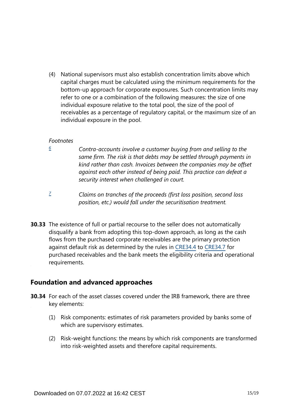(4) National supervisors must also establish concentration limits above which capital charges must be calculated using the minimum requirements for the bottom-up approach for corporate exposures. Such concentration limits may refer to one or a combination of the following measures: the size of one individual exposure relative to the total pool, the size of the pool of receivables as a percentage of regulatory capital, or the maximum size of an individual exposure in the pool.

#### *Footnotes*

<span id="page-14-0"></span>*Contra-accounts involve a customer buying from and selling to the same firm. The risk is that debts may be settled through payments in kind rather than cash. Invoices between the companies may be offset against each other instead of being paid. This practice can defeat a security interest when challenged in court. [6](#page-13-0)*

- *Claims on tranches of the proceeds (first loss position, second loss position, etc.) would fall under the securitisation treatment. [7](#page-13-1)*
- <span id="page-14-1"></span>**30.33** The existence of full or partial recourse to the seller does not automatically disqualify a bank from adopting this top-down approach, as long as the cash flows from the purchased corporate receivables are the primary protection against default risk as determined by the rules in [CRE34.4](https://www.bis.org/basel_framework/chapter/CRE/34.htm?tldate=20220102&inforce=20191215&published=20191215#paragraph_CRE_34_20191215_34_4) to [CRE34.7](https://www.bis.org/basel_framework/chapter/CRE/34.htm?tldate=20220102&inforce=20191215&published=20191215#paragraph_CRE_34_20191215_34_7) for purchased receivables and the bank meets the eligibility criteria and operational requirements.

## **Foundation and advanced approaches**

- **30.34** For each of the asset classes covered under the IRB framework, there are three key elements:
	- (1) Risk components: estimates of risk parameters provided by banks some of which are supervisory estimates.
	- (2) Risk-weight functions: the means by which risk components are transformed into risk-weighted assets and therefore capital requirements.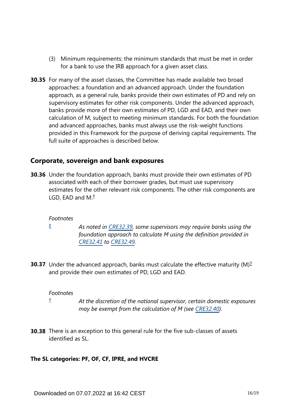- (3) Minimum requirements: the minimum standards that must be met in order for a bank to use the IRB approach for a given asset class.
- **30.35** For many of the asset classes, the Committee has made available two broad approaches: a foundation and an advanced approach. Under the foundation approach, as a general rule, banks provide their own estimates of PD and rely on supervisory estimates for other risk components. Under the advanced approach, banks provide more of their own estimates of PD, LGD and EAD, and their own calculation of M, subject to meeting minimum standards. For both the foundation and advanced approaches, banks must always use the risk-weight functions provided in this Framework for the purpose of deriving capital requirements. The full suite of approaches is described below.

## **Corporate, sovereign and bank exposures**

<span id="page-15-1"></span>**30.36** Under the foundation approach, banks must provide their own estimates of PD associated with each of their borrower grades, but must use supervisory estimates for the other relevant risk components. The other risk components are LGD, EAD and  $M<sup>8</sup>$  $M<sup>8</sup>$  $M<sup>8</sup>$ 

#### *Footnotes*

<span id="page-15-0"></span>*[8](#page-15-1)*

*As noted in [CRE32.39](https://www.bis.org/basel_framework/chapter/CRE/32.htm?tldate=20220102&inforce=20191215&published=20191215#paragraph_CRE_32_20191215_32_39), some supervisors may require banks using the foundation approach to calculate M using the definition provided in [CRE32.41](https://www.bis.org/basel_framework/chapter/CRE/32.htm?tldate=20220102&inforce=20191215&published=20191215#paragraph_CRE_32_20191215_32_41) to [CRE32.49.](https://www.bis.org/basel_framework/chapter/CRE/32.htm?tldate=20220102&inforce=20191215&published=20191215#paragraph_CRE_32_20191215_32_49)*

<span id="page-15-3"></span>**30.37** Under the advanced approach, banks must calculate the effective maturity (M)<sup>[9](#page-15-2)</sup> and provide their own estimates of PD, LGD and EAD.

#### *Footnotes*

*[9](#page-15-3)*

*At the discretion of the national supervisor, certain domestic exposures may be exempt from the calculation of M (see [CRE32.40](https://www.bis.org/basel_framework/chapter/CRE/32.htm?tldate=20220102&inforce=20191215&published=20191215#paragraph_CRE_32_20191215_32_40)).*

<span id="page-15-2"></span>**30.38** There is an exception to this general rule for the five sub-classes of assets identified as SL.

#### **The SL categories: PF, OF, CF, IPRE, and HVCRE**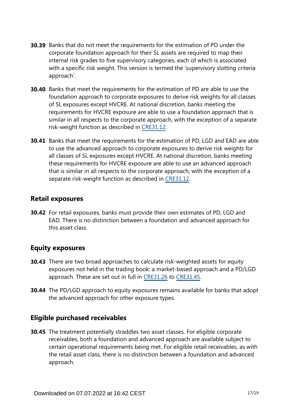- **30.39** Banks that do not meet the requirements for the estimation of PD under the corporate foundation approach for their SL assets are required to map their internal risk grades to five supervisory categories, each of which is associated with a specific risk weight. This version is termed the 'supervisory slotting criteria approach'.
- **30.40** Banks that meet the requirements for the estimation of PD are able to use the foundation approach to corporate exposures to derive risk weights for all classes of SL exposures except HVCRE. At national discretion, banks meeting the requirements for HVCRE exposure are able to use a foundation approach that is similar in all respects to the corporate approach, with the exception of a separate risk-weight function as described in [CRE31.12](https://www.bis.org/basel_framework/chapter/CRE/31.htm?tldate=20220102&inforce=20191215&published=20191215#paragraph_CRE_31_20191215_31_12).
- **30.41** Banks that meet the requirements for the estimation of PD, LGD and EAD are able to use the advanced approach to corporate exposures to derive risk weights for all classes of SL exposures except HVCRE. At national discretion, banks meeting these requirements for HVCRE exposure are able to use an advanced approach that is similar in all respects to the corporate approach, with the exception of a separate risk-weight function as described in [CRE31.12.](https://www.bis.org/basel_framework/chapter/CRE/31.htm?tldate=20220102&inforce=20191215&published=20191215#paragraph_CRE_31_20191215_31_12)

## **Retail exposures**

**30.42** For retail exposures, banks must provide their own estimates of PD, LGD and EAD. There is no distinction between a foundation and advanced approach for this asset class.

## **Equity exposures**

- **30.43** There are two broad approaches to calculate risk-weighted assets for equity exposures not held in the trading book: a market-based approach and a PD/LGD approach. These are set out in full in [CRE31.26](https://www.bis.org/basel_framework/chapter/CRE/31.htm?tldate=20220102&inforce=20191215&published=20191215#paragraph_CRE_31_20191215_31_26) to [CRE31.45.](https://www.bis.org/basel_framework/chapter/CRE/31.htm?tldate=20220102&inforce=20191215&published=20191215#paragraph_CRE_31_20191215_31_45)
- **30.44** The PD/LGD approach to equity exposures remains available for banks that adopt the advanced approach for other exposure types.

## **Eligible purchased receivables**

**30.45** The treatment potentially straddles two asset classes. For eligible corporate receivables, both a foundation and advanced approach are available subject to certain operational requirements being met. For eligible retail receivables, as with the retail asset class, there is no distinction between a foundation and advanced approach.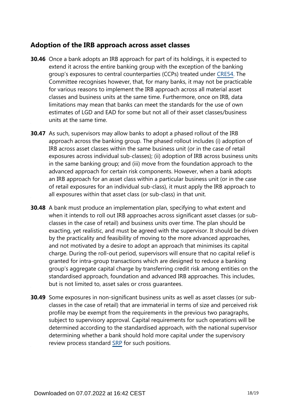## **Adoption of the IRB approach across asset classes**

- **30.46** Once a bank adopts an IRB approach for part of its holdings, it is expected to extend it across the entire banking group with the exception of the banking group's exposures to central counterparties (CCPs) treated under [CRE54](https://www.bis.org/basel_framework/chapter/CRE/54.htm?tldate=20220102&inforce=20191215&published=20191215). The Committee recognises however, that, for many banks, it may not be practicable for various reasons to implement the IRB approach across all material asset classes and business units at the same time. Furthermore, once on IRB, data limitations may mean that banks can meet the standards for the use of own estimates of LGD and EAD for some but not all of their asset classes/business units at the same time.
- **30.47** As such, supervisors may allow banks to adopt a phased rollout of the IRB approach across the banking group. The phased rollout includes (i) adoption of IRB across asset classes within the same business unit (or in the case of retail exposures across individual sub-classes); (ii) adoption of IRB across business units in the same banking group; and (iii) move from the foundation approach to the advanced approach for certain risk components. However, when a bank adopts an IRB approach for an asset class within a particular business unit (or in the case of retail exposures for an individual sub-class), it must apply the IRB approach to all exposures within that asset class (or sub-class) in that unit.
- **30.48** A bank must produce an implementation plan, specifying to what extent and when it intends to roll out IRB approaches across significant asset classes (or subclasses in the case of retail) and business units over time. The plan should be exacting, yet realistic, and must be agreed with the supervisor. It should be driven by the practicality and feasibility of moving to the more advanced approaches, and not motivated by a desire to adopt an approach that minimises its capital charge. During the roll-out period, supervisors will ensure that no capital relief is granted for intra-group transactions which are designed to reduce a banking group's aggregate capital charge by transferring credit risk among entities on the standardised approach, foundation and advanced IRB approaches. This includes, but is not limited to, asset sales or cross guarantees.
- **30.49** Some exposures in non-significant business units as well as asset classes (or subclasses in the case of retail) that are immaterial in terms of size and perceived risk profile may be exempt from the requirements in the previous two paragraphs, subject to supervisory approval. Capital requirements for such operations will be determined according to the standardised approach, with the national supervisor determining whether a bank should hold more capital under the supervisory review process standard [SRP](https://www.bis.org/basel_framework/standard/SRP.htm?tldate=20220102) for such positions.